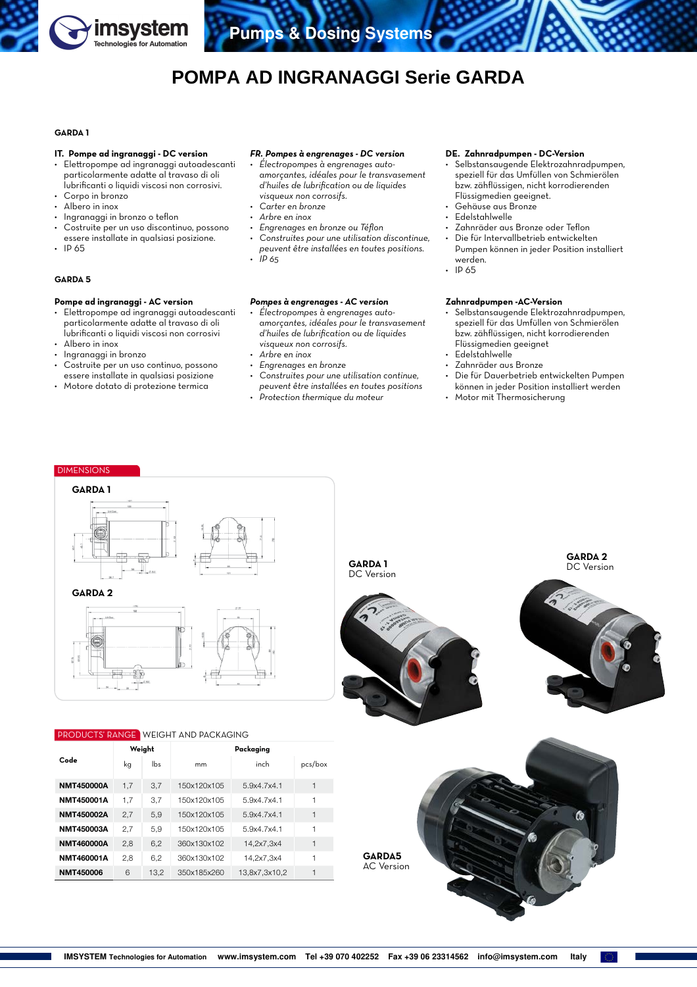

# **POMPA AD INGRANAGGI Serie GARDA**

## **GARDA 1**

#### **IT. Pompe ad ingranaggi - DC version**

- Elettropompe ad ingranaggi autoadescanti particolarmente adatte al travaso di oli lubrificanti o liquidi viscosi non corrosivi.
- Corpo in bronzo
- Albero in inox
- Ingranaggi in bronzo o teflon
- Costruite per un uso discontinuo, possono essere installate in qualsiasi posizione.
- IP 65

## **GARDA 5**

### **Pompe ad ingranaggi - AC version**

- Elettropompe ad ingranaggi autoadescanti particolarmente adatte al travaso di oli lubrificanti o liquidi viscosi non corrosivi
- Albero in inox<br>• Ingranagai in
- Ingranaggi in bronzo
- Costruite per un uso continuo, possono essere installate in qualsiasi posizione
- Motore dotato di protezione termica

#### *FR. Pompes à engrenages - DC version*

- *• Électropompes à engrenages autoamorçantes, idéales pour le transvasement d'huiles de lubrification ou de liquides visqueux non corrosifs.*
- *• Carter en bronze*
- *• Arbre en inox*
- *• Engrenages en bronze ou Téflon*
- *• Construites pour une utilisation discontinue, peuvent être installées en toutes positions. • IP 65*

## *Pompes à engrenages - AC version*

- *• Électropompes à engrenages autoamorçantes, idéales pour le transvasement d'huiles de lubrification ou de liquides visqueux non corrosifs.*
- *• Arbre en inox*
- *• Engrenages en bronze*
- *• Construites pour une utilisation continue, peuvent être installées en toutes positions*
- *• Protection thermique du moteur*

## **DE. Zahnradpumpen - DC-Version**

- Selbstansaugende Elektrozahnradpumpen, speziell für das Umfüllen von Schmierölen bzw. zähflüssigen, nicht korrodierenden Flüssigmedien geeignet.
- Gehäuse aus Bronze
- Edelstahlwelle
- Zahnräder aus Bronze oder Teflon
- Die für Intervallbetrieb entwickelten Pumpen können in jeder Position installiert werden.
- IP 65

## **Zahnradpumpen -AC-Version**

- Selbstansaugende Elektrozahnradpumpen, speziell für das Umfüllen von Schmierölen bzw. zähflüssigen, nicht korrodierenden Flüssigmedien geeignet
- Edelstahlwelle
- Zahnräder aus Bronze
- Die für Dauerbetrieb entwickelten Pumpen können in jeder Position installiert werden
- Motor mit Thermosicherung